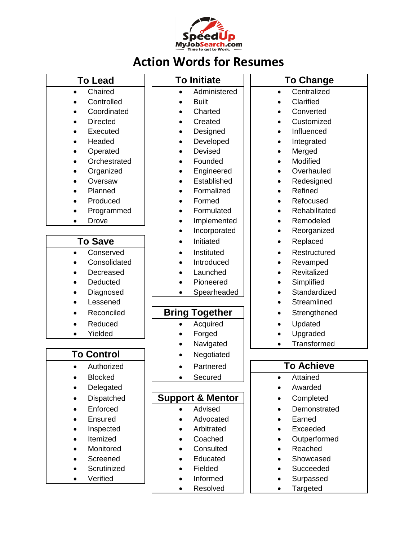

# **Action Words for Resumes**

| <b>To Lead</b>                                                                                                                                                                                       | <b>To Initiate</b>                                                                                                                                                  | <b>To Change</b>                                                                                                                                                                                                                        |
|------------------------------------------------------------------------------------------------------------------------------------------------------------------------------------------------------|---------------------------------------------------------------------------------------------------------------------------------------------------------------------|-----------------------------------------------------------------------------------------------------------------------------------------------------------------------------------------------------------------------------------------|
| Chaired<br>$\bullet$<br>Controlled<br>Coordinated<br>$\bullet$<br><b>Directed</b><br>Executed<br>Headed<br>Operated<br>Orchestrated<br>$\bullet$<br>Organized<br>٠<br>Oversaw<br>Planned<br>Produced | Administered<br>$\bullet$<br><b>Built</b><br>Charted<br>Created<br>Designed<br>Developed<br>Devised<br>Founded<br>Engineered<br>Established<br>Formalized<br>Formed | Centralized<br>$\bullet$<br>Clarified<br>Converted<br>$\bullet$<br>Customized<br>Influenced<br>Integrated<br>$\bullet$<br>Merged<br>$\bullet$<br>Modified<br>Overhauled<br>$\bullet$<br>Redesigned<br>$\bullet$<br>Refined<br>Refocused |
| Programmed<br>Drove                                                                                                                                                                                  | Formulated<br>Implemented                                                                                                                                           | Rehabilitated<br>Remodeled                                                                                                                                                                                                              |
| <b>To Save</b>                                                                                                                                                                                       | Incorporated<br>Initiated                                                                                                                                           | Reorganized<br>$\bullet$<br>Replaced<br>$\bullet$                                                                                                                                                                                       |
| Conserved<br>$\bullet$<br>Consolidated<br>Decreased<br>Deducted<br>Diagnosed<br>Lessened                                                                                                             | Instituted<br>Introduced<br>Launched<br>Pioneered<br>Spearheaded                                                                                                    | Restructured<br>Revamped<br>$\bullet$<br>Revitalized<br>Simplified<br>Standardized<br>Streamlined                                                                                                                                       |
| Reconciled<br>Reduced<br>Yielded<br><b>To Control</b>                                                                                                                                                | <b>Bring Together</b><br>Acquired<br>$\bullet$<br>Forged<br>Navigated<br>Negotiated                                                                                 | Strengthened<br>Updated<br>٠<br>Upgraded<br>Transformed                                                                                                                                                                                 |
| Authorized<br>٠                                                                                                                                                                                      | Partnered                                                                                                                                                           | <b>To Achieve</b>                                                                                                                                                                                                                       |
| <b>Blocked</b><br>Delegated                                                                                                                                                                          | Secured<br>$\bullet$                                                                                                                                                | Attained<br>$\bullet$<br>Awarded                                                                                                                                                                                                        |
| Dispatched<br>٠<br>Enforced<br>Ensured<br>Inspected<br>Itemized<br>Monitored<br>Screened                                                                                                             | <b>Support &amp; Mentor</b><br>Advised<br>Advocated<br>Arbitrated<br>Coached<br>Consulted<br>Educated                                                               | Completed<br>٠<br>Demonstrated<br>Earned<br>$\bullet$<br>Exceeded<br>Outperformed<br>Reached<br>Showcased                                                                                                                               |
| Scrutinized<br>Verified                                                                                                                                                                              | Fielded<br>Informed<br>Resolved                                                                                                                                     | Succeeded<br>Surpassed<br>Targeted                                                                                                                                                                                                      |